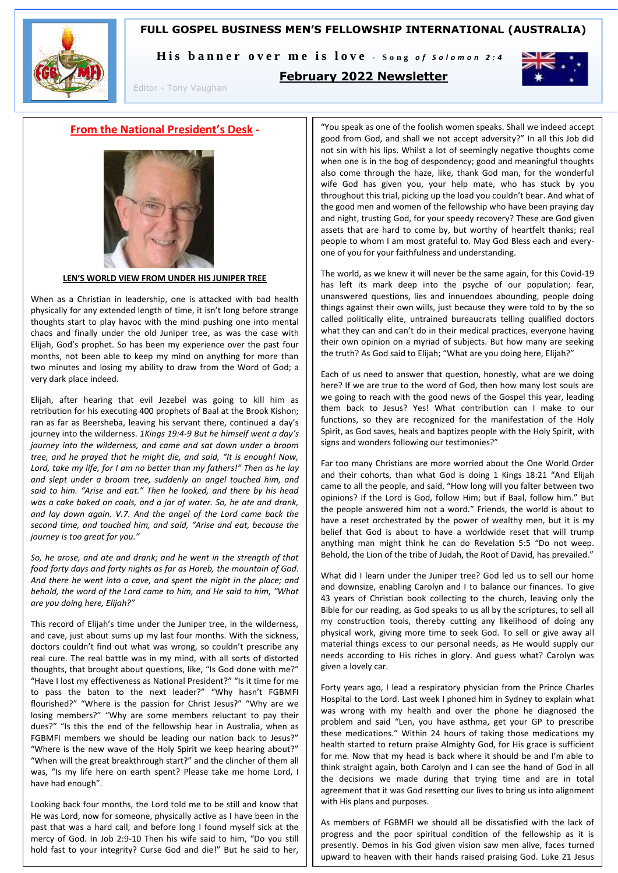### **FULL GOSPEL BUSINESS MEN'S FELLOWSHIP INTERNATIONAL (AUSTRALIA)**



His banner over me is love - Song of Solomon 2:4



**February 2022 Newsletter**

### **From the National President's Desk -**

Editor - Tony Vaughan



**LEN'S WORLD VIEW FROM UNDER HIS JUNIPER TREE**

When as a Christian in leadership, one is attacked with bad health physically for any extended length of time, it isn't long before strange thoughts start to play havoc with the mind pushing one into mental chaos and finally under the old Juniper tree, as was the case with Elijah, God's prophet. So has been my experience over the past four months, not been able to keep my mind on anything for more than two minutes and losing my ability to draw from the Word of God; a very dark place indeed.

Elijah, after hearing that evil Jezebel was going to kill him as retribution for his executing 400 prophets of Baal at the Brook Kishon; ran as far as Beersheba, leaving his servant there, continued a day's journey into the wilderness. *1Kings 19:4-9 But he himself went a day's journey into the wilderness, and came and sat down under a broom tree, and he prayed that he might die, and said, "It is enough! Now, Lord, take my life, for I am no better than my fathers!" Then as he lay and slept under a broom tree, suddenly an angel touched him, and said to him. "Arise and eat." Then he looked, and there by his head was a cake baked on coals, and a jar of water. So, he ate and drank, and lay down again. V.7. And the angel of the Lord came back the second time, and touched him, and said, "Arise and eat, because the journey is too great for you."*

*So, he arose, and ate and drank; and he went in the strength of that food forty days and forty nights as far as Horeb, the mountain of God. And there he went into a cave, and spent the night in the place; and behold, the word of the Lord came to him, and He said to him, "What are you doing here, Elijah?"*

This record of Elijah's time under the Juniper tree, in the wilderness, and cave, just about sums up my last four months. With the sickness, doctors couldn't find out what was wrong, so couldn't prescribe any real cure. The real battle was in my mind, with all sorts of distorted thoughts, that brought about questions, like, "Is God done with me?" "Have I lost my effectiveness as National President?" "Is it time for me to pass the baton to the next leader?" "Why hasn't FGBMFI flourished?" "Where is the passion for Christ Jesus?" "Why are we losing members?" "Why are some members reluctant to pay their dues?" "Is this the end of the fellowship hear in Australia, when as FGBMFI members we should be leading our nation back to Jesus?" "Where is the new wave of the Holy Spirit we keep hearing about?" "When will the great breakthrough start?" and the clincher of them all was, "Is my life here on earth spent? Please take me home Lord, I have had enough".

Looking back four months, the Lord told me to be still and know that He was Lord, now for someone, physically active as I have been in the past that was a hard call, and before long I found myself sick at the mercy of God. In Job 2:9-10 Then his wife said to him, "Do you still hold fast to your integrity? Curse God and die!" But he said to her,

"You speak as one of the foolish women speaks. Shall we indeed accept good from God, and shall we not accept adversity?" In all this Job did not sin with his lips. Whilst a lot of seemingly negative thoughts come when one is in the bog of despondency; good and meaningful thoughts also come through the haze, like, thank God man, for the wonderful wife God has given you, your help mate, who has stuck by you throughout this trial, picking up the load you couldn't bear. And what of the good men and women of the fellowship who have been praying day and night, trusting God, for your speedy recovery? These are God given assets that are hard to come by, but worthy of heartfelt thanks; real people to whom I am most grateful to. May God Bless each and everyone of you for your faithfulness and understanding.

The world, as we knew it will never be the same again, for this Covid-19 has left its mark deep into the psyche of our population; fear, unanswered questions, lies and innuendoes abounding, people doing things against their own wills, just because they were told to by the so called politically elite, untrained bureaucrats telling qualified doctors what they can and can't do in their medical practices, everyone having their own opinion on a myriad of subjects. But how many are seeking the truth? As God said to Elijah; "What are you doing here, Elijah?"

Each of us need to answer that question, honestly, what are we doing here? If we are true to the word of God, then how many lost souls are we going to reach with the good news of the Gospel this year, leading them back to Jesus? Yes! What contribution can I make to our functions, so they are recognized for the manifestation of the Holy Spirit, as God saves, heals and baptizes people with the Holy Spirit, with signs and wonders following our testimonies?"

Far too many Christians are more worried about the One World Order and their cohorts, than what God is doing 1 Kings 18:21 "And Elijah came to all the people, and said, "How long will you falter between two opinions? If the Lord is God, follow Him; but if Baal, follow him." But the people answered him not a word." Friends, the world is about to have a reset orchestrated by the power of wealthy men, but it is my belief that God is about to have a worldwide reset that will trump anything man might think he can do Revelation 5:5 "Do not weep. Behold, the Lion of the tribe of Judah, the Root of David, has prevailed."

What did I learn under the Juniper tree? God led us to sell our home and downsize, enabling Carolyn and I to balance our finances. To give 43 years of Christian book collecting to the church, leaving only the Bible for our reading, as God speaks to us all by the scriptures, to sell all my construction tools, thereby cutting any likelihood of doing any physical work, giving more time to seek God. To sell or give away all material things excess to our personal needs, as He would supply our needs according to His riches in glory. And guess what? Carolyn was given a lovely car.

Forty years ago, I lead a respiratory physician from the Prince Charles Hospital to the Lord. Last week I phoned him in Sydney to explain what was wrong with my health and over the phone he diagnosed the problem and said "Len, you have asthma, get your GP to prescribe these medications." Within 24 hours of taking those medications my health started to return praise Almighty God, for His grace is sufficient for me. Now that my head is back where it should be and I'm able to think straight again, both Carolyn and I can see the hand of God in all the decisions we made during that trying time and are in total agreement that it was God resetting our lives to bring us into alignment with His plans and purposes.

As members of FGBMFI we should all be dissatisfied with the lack of progress and the poor spiritual condition of the fellowship as it is presently. Demos in his God given vision saw men alive, faces turned upward to heaven with their hands raised praising God. Luke 21 Jesus

 $V$ ision; and that is what we as  $F_G$  as  $F_G$  members shown is what we as  $F_G$  members shown in  $\mathbb{R}^n$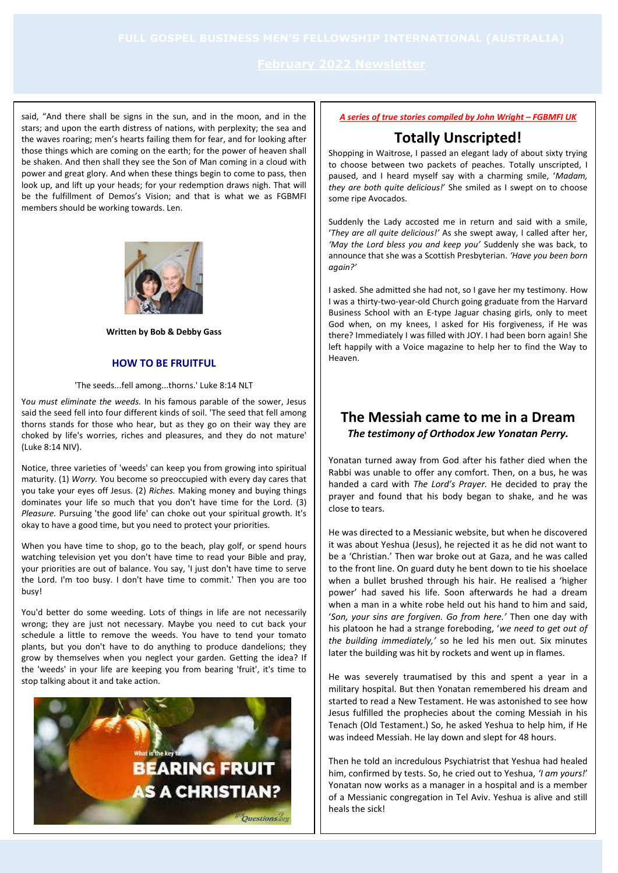said, "And there shall be signs in the sun, and in the moon, and in the stars; and upon the earth distress of nations, with perplexity; the sea and the waves roaring; men's hearts failing them for fear, and for looking after those things which are coming on the earth; for the power of heaven shall be shaken. And then shall they see the Son of Man coming in a cloud with power and great glory. And when these things begin to come to pass, then look up, and lift up your heads; for your redemption draws nigh. That will be the fulfillment of Demos's Vision; and that is what we as FGBMFI members should be working towards. Len.



#### **Written by Bob & Debby Gass**

### **HOW TO BE FRUITFUL**

#### 'The seeds...fell among...thorns.' Luke 8:14 NLT

Y*ou must eliminate the weeds.* In his famous parable of the sower, Jesus said the seed fell into four different kinds of soil. 'The seed that fell among thorns stands for those who hear, but as they go on their way they are choked by life's worries, riches and pleasures, and they do not mature' (Luke 8:14 NIV).

Notice, three varieties of 'weeds' can keep you from growing into spiritual maturity. (1) *Worry.* You become so preoccupied with every day cares that you take your eyes off Jesus. (2) *Riches.* Making money and buying things dominates your life so much that you don't have time for the Lord. (3) *Pleasure.* Pursuing 'the good life' can choke out your spiritual growth. It's okay to have a good time, but you need to protect your priorities.

When you have time to shop, go to the beach, play golf, or spend hours watching television yet you don't have time to read your Bible and pray, your priorities are out of balance. You say, 'I just don't have time to serve the Lord. I'm too busy. I don't have time to commit.' Then you are too busy!

You'd better do some weeding. Lots of things in life are not necessarily wrong; they are just not necessary. Maybe you need to cut back your schedule a little to remove the weeds. You have to tend your tomato plants, but you don't have to do anything to produce dandelions; they grow by themselves when you neglect your garden. Getting the idea? If the 'weeds' in your life are keeping you from bearing 'fruit', it's time to stop talking about it and take action.



### *A series of true stories compiled by John Wright – FGBMFI UK*

# **Totally Unscripted!**

Shopping in Waitrose, I passed an elegant lady of about sixty trying to choose between two packets of peaches. Totally unscripted, I paused, and I heard myself say with a charming smile, '*Madam, they are both quite delicious!*' She smiled as I swept on to choose some ripe Avocados.

Suddenly the Lady accosted me in return and said with a smile, '*They are all quite delicious!'* As she swept away, I called after her, *'May the Lord bless you and keep you'* Suddenly she was back, to announce that she was a Scottish Presbyterian. *'Have you been born again?'* 

I asked. She admitted she had not, so I gave her my testimony. How I was a thirty-two-year-old Church going graduate from the Harvard Business School with an E-type Jaguar chasing girls, only to meet God when, on my knees, I asked for His forgiveness, if He was there? Immediately I was filled with JOY. I had been born again! She left happily with a Voice magazine to help her to find the Way to Heaven.

# **The Messiah came to me in a Dream** *The testimony of Orthodox Jew Yonatan Perry.*

Yonatan turned away from God after his father died when the Rabbi was unable to offer any comfort. Then, on a bus, he was handed a card with *The Lord's Prayer.* He decided to pray the prayer and found that his body began to shake, and he was close to tears.

He was directed to a Messianic website, but when he discovered it was about Yeshua (Jesus), he rejected it as he did not want to be a 'Christian.' Then war broke out at Gaza, and he was called to the front line. On guard duty he bent down to tie his shoelace when a bullet brushed through his hair. He realised a 'higher power' had saved his life. Soon afterwards he had a dream when a man in a white robe held out his hand to him and said, '*Son, your sins are forgiven. Go from here.'* Then one day with his platoon he had a strange foreboding, '*we need to get out of the building immediately,'* so he led his men out*.* Six minutes later the building was hit by rockets and went up in flames.

He was severely traumatised by this and spent a year in a military hospital. But then Yonatan remembered his dream and started to read a New Testament. He was astonished to see how Jesus fulfilled the prophecies about the coming Messiah in his Tenach (Old Testament.) So, he asked Yeshua to help him, if He was indeed Messiah. He lay down and slept for 48 hours.

Then he told an incredulous Psychiatrist that Yeshua had healed him, confirmed by tests. So, he cried out to Yeshua, *'I am yours!*' Yonatan now works as a manager in a hospital and is a member of a Messianic congregation in Tel Aviv. Yeshua is alive and still heals the sick!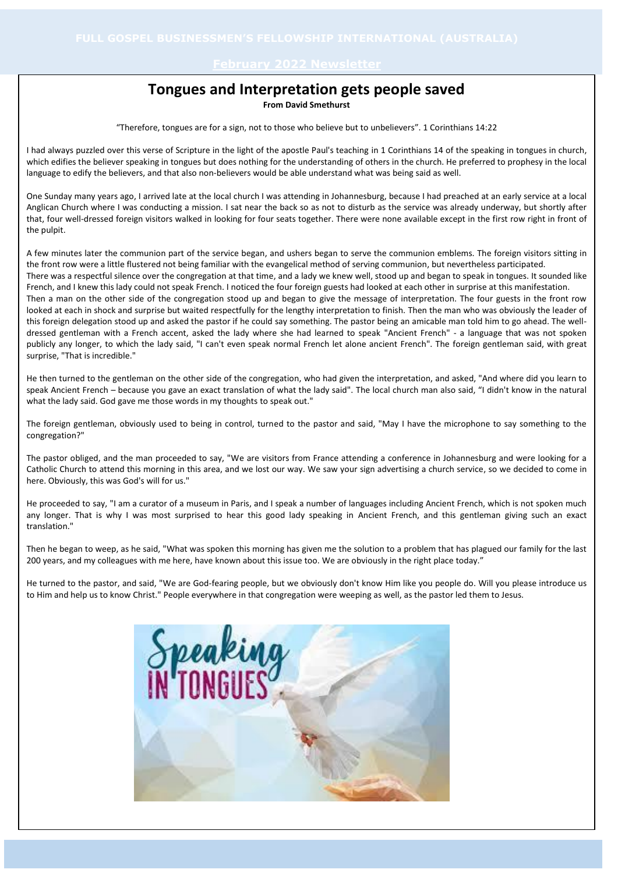# **Tongues and Interpretation gets people saved**

**From David Smethurst**

"Therefore, tongues are for a sign, not to those who believe but to unbelievers". 1 Corinthians 14:22

I had always puzzled over this verse of Scripture in the light of the apostle Paul's teaching in 1 Corinthians 14 of the speaking in tongues in church, which edifies the believer speaking in tongues but does nothing for the understanding of others in the church. He preferred to prophesy in the local language to edify the believers, and that also non-believers would be able understand what was being said as well.

One Sunday many years ago, I arrived late at the local church I was attending in Johannesburg, because I had preached at an early service at a local Anglican Church where I was conducting a mission. I sat near the back so as not to disturb as the service was already underway, but shortly after that, four well-dressed foreign visitors walked in looking for four seats together. There were none available except in the first row right in front of the pulpit.

A few minutes later the communion part of the service began, and ushers began to serve the communion emblems. The foreign visitors sitting in the front row were a little flustered not being familiar with the evangelical method of serving communion, but nevertheless participated. There was a respectful silence over the congregation at that time, and a lady we knew well, stood up and began to speak in tongues. It sounded like French, and I knew this lady could not speak French. I noticed the four foreign guests had looked at each other in surprise at this manifestation. Then a man on the other side of the congregation stood up and began to give the message of interpretation. The four guests in the front row looked at each in shock and surprise but waited respectfully for the lengthy interpretation to finish. Then the man who was obviously the leader of this foreign delegation stood up and asked the pastor if he could say something. The pastor being an amicable man told him to go ahead. The welldressed gentleman with a French accent, asked the lady where she had learned to speak "Ancient French" - a language that was not spoken publicly any longer, to which the lady said, "I can't even speak normal French let alone ancient French". The foreign gentleman said, with great

He then turned to the gentleman on the other side of the congregation, who had given the interpretation, and asked, "And where did you learn to speak Ancient French – because you gave an exact translation of what the lady said". The local church man also said, "I didn't know in the natural what the lady said. God gave me those words in my thoughts to speak out."

surprise, "That is incredible."

The foreign gentleman, obviously used to being in control, turned to the pastor and said, "May I have the microphone to say something to the congregation?"

The pastor obliged, and the man proceeded to say, "We are visitors from France attending a conference in Johannesburg and were looking for a Catholic Church to attend this morning in this area, and we lost our way. We saw your sign advertising a church service, so we decided to come in here. Obviously, this was God's will for us."

He proceeded to say, "I am a curator of a museum in Paris, and I speak a number of languages including Ancient French, which is not spoken much any longer. That is why I was most surprised to hear this good lady speaking in Ancient French, and this gentleman giving such an exact translation."

Then he began to weep, as he said, "What was spoken this morning has given me the solution to a problem that has plagued our family for the last 200 years, and my colleagues with me here, have known about this issue too. We are obviously in the right place today."

He turned to the pastor, and said, "We are God-fearing people, but we obviously don't know Him like you people do. Will you please introduce us to Him and help us to know Christ." People everywhere in that congregation were weeping as well, as the pastor led them to Jesus.